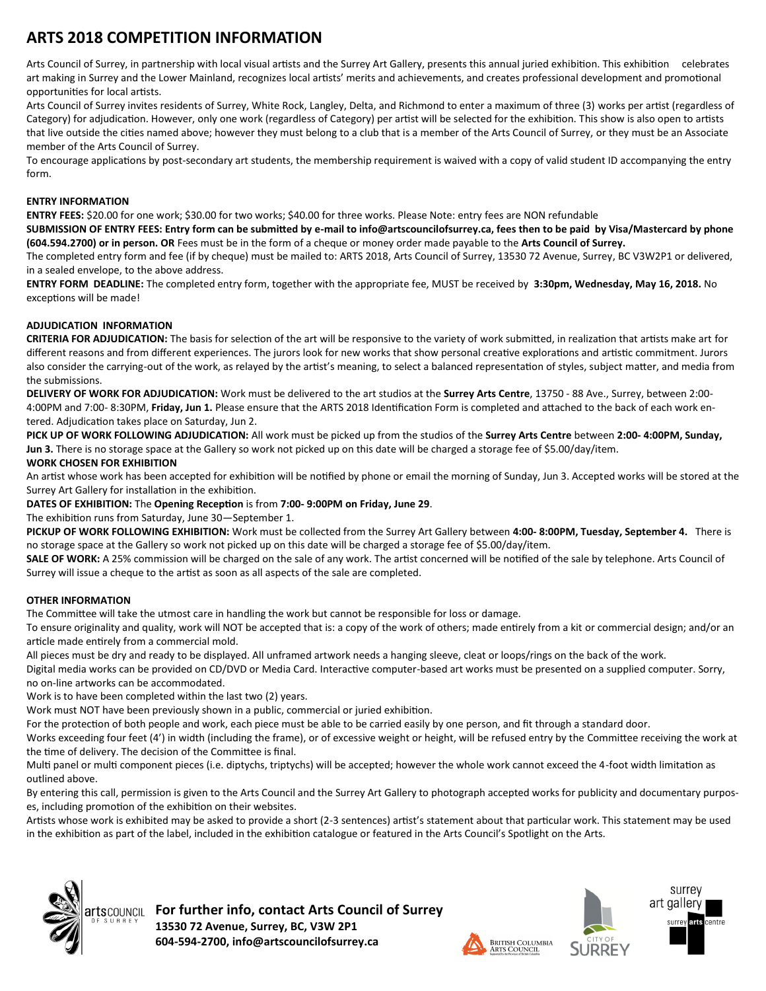## **ARTS 2018 COMPETITION INFORMATION**

Arts Council of Surrey, in partnership with local visual artists and the Surrey Art Gallery, presents this annual juried exhibition. This exhibition celebrates art making in Surrey and the Lower Mainland, recognizes local artists' merits and achievements, and creates professional development and promotional opportunities for local artists

Arts Council of Surrey invites residents of Surrey, White Rock, Langley, Delta, and Richmond to enter a maximum of three (3) works per artist (regardless of Category) for adjudication. However, only one work (regardless of Category) per artist will be selected for the exhibition. This show is also open to artists that live outside the cities named above; however they must belong to a club that is a member of the Arts Council of Surrey, or they must be an Associate member of the Arts Council of Surrey

To encourage applications by post-secondary art students, the membership requirement is waived with a copy of valid student ID accompanying the entry form

#### **ENTRY INFORMATION**

**ENTRY FEES:** \$20.00 for one work; \$30.00 for two works; \$40.00 for three works. Please Note: entry fees are NON refundable

**SUBMISSION OF ENTRY FEES: Entry form can be submitted by e-mail to info@artscouncilofsurrey.ca, fees then to be paid by Visa/Mastercard by phone (604.594.2700) or in person. OR** Fees must be in the form of a cheque or money order made payable to the **Arts Council of Surrey.**

The completed entry form and fee (if by cheque) must be mailed to: ARTS 2018, Arts Council of Surrey, 13530 72 Avenue, Surrey, BC V3W2P1 or delivered, in a sealed envelope, to the above address

**ENTRY FORM DEADLINE:** The completed entry form, together with the appropriate fee, MUST be received by 3:30pm, Wednesday, May 16, 2018. No exceptions will be made!

### **ADJUDICATION INFORMATION**

**CRITERIA FOR ADJUDICATION:** hhe basis for selection of the art will be responsive to the variety of work submitted, in realization that artists make art for different reasons and from different experiences. The jurors look for new works that show personal creative explorations and artistic commitment. Jurors also consider the carrying-out of the work, as relayed by the artist's meaning, to select a balanced representation of styles, subject matter, and media from the submissions

**DELIVERY OF WORK FOR ADJUDICATION:** Work must be delivered to the art studios at the **Surrey Arts Centre**, 13750 - 88 Ave , Surrey, between 2:00- 4:00PM and 7:00- 8:30PM, Friday, Jun 1. Please ensure that the ARTS 2018 Identification Form is completed and attached to the back of each work entered. Adjudication takes place on Saturday, Jun 2.

**PICK UP OF WORK FOLLOWING ADJUDICATION:** All work must be picked up from the studios of the **Surrey Arts Centre** between **2:00- 4:00PM, Sunday,**  Jun 3. There is no storage space at the Gallery so work not picked up on this date will be charged a storage fee of \$5.00/day/item.

### **WORK CHOSEN FOR EXHIBITION**

An artist whose work has been accepted for exhibition will be notified by phone or email the morning of Sunday, uun 3 Accepted works will be stored at the Surrey Art Gallery for installation in the exhibition

### **DATES OF EXHIBITION:** hhe **Opening Reception** is from **7:00- 9:00PM on Friday, June 29**

The exhibition runs from Saturday, June 30-September 1.

**PICKUP OF WORK FOLLOWING EXHIBITION:** Work must be collected from the Surrey Art Gallery between **4:00- 8:00PM, Tuesday, September 4.** hhere is no storage space at the Gallery so work not picked up on this date will be charged a storage fee of \$5.00/day/item.

SALE OF WORK: A 25% commission will be charged on the sale of any work. The artist concerned will be notified of the sale by telephone. Arts Council of Surrey will issue a cheque to the artist as soon as all aspects of the sale are completed

### **OTHER INFORMATION**

The Committee will take the utmost care in handling the work but cannot be responsible for loss or damage.

To ensure originality and quality, work will NOT be accepted that is: a copy of the work of others; made entirely from a kit or commercial design; and/or an article made entirely from a commercial mold

All pieces must be dry and ready to be displayed. All unframed artwork needs a hanging sleeve, cleat or loops/rings on the back of the work.

Digital media works can be provided on CD/DVD or Media Card. Interactive computer-based art works must be presented on a supplied computer. Sorry, no on-line artworks can be accommodated

Work is to have been completed within the last two (2) years.

Work must NOT have been previously shown in a public, commercial or juried exhibition.

For the protection of both people and work, each piece must be able to be carried easily by one person, and fit through a standard door

Works exceeding four feet (4') in width (including the frame), or of excessive weight or height, will be refused entry by the Committee receiving the work at the time of delivery. The decision of the Committee is final.

Multi panel or multi component pieces (i.e. diptychs, triptychs) will be accepted; however the whole work cannot exceed the 4-foot width limitation as outlined above

By entering this call, permission is given to the Arts Council and the Surrey Art Gallery to photograph accepted works for publicity and documentary purposes, including promotion of the exhibition on their websites

Artists whose work is exhibited may be asked to provide a short (2-3 sentences) artist's statement about that particular work. This statement may be used in the exhibition as part of the label, included in the exhibition catalogue or featured in the Arts Council's Spotlight on the Arts



**For further info, contact Arts Council of Surrey 13530 72 Avenue, Surrey, BC, V3W 2P1 604-594-2700, info@artscouncilofsurrey.ca**